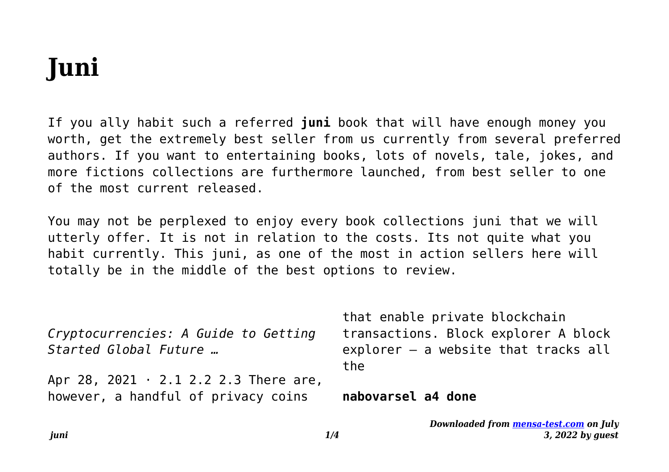# **Juni**

If you ally habit such a referred **juni** book that will have enough money you worth, get the extremely best seller from us currently from several preferred authors. If you want to entertaining books, lots of novels, tale, jokes, and more fictions collections are furthermore launched, from best seller to one of the most current released.

You may not be perplexed to enjoy every book collections juni that we will utterly offer. It is not in relation to the costs. Its not quite what you habit currently. This juni, as one of the most in action sellers here will totally be in the middle of the best options to review.

|                                             | that enable private blockchain                |
|---------------------------------------------|-----------------------------------------------|
| Cryptocurrencies: A Guide to Getting        | transactions. Block explorer A block          |
| Started Global Future                       | $explorer - a website that tracks all$<br>the |
| Apr 28, 2021 $\cdot$ 2.1 2.2 2.3 There are, |                                               |
| however, a handful of privacy coins         | nabovarsel a4 done                            |

*Downloaded from [mensa-test.com](https://mensa-test.com) on July 3, 2022 by guest*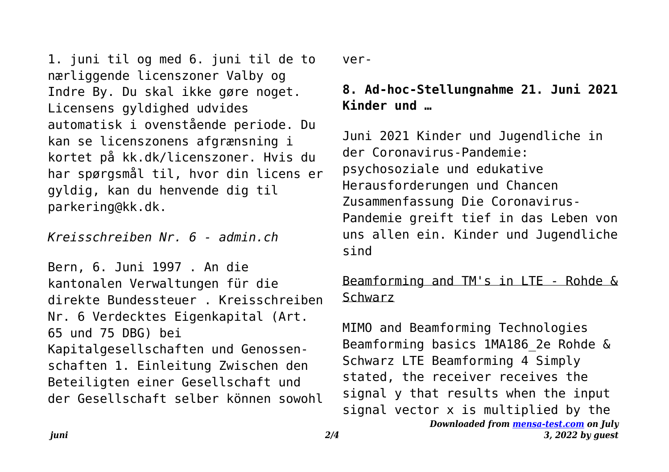1. juni til og med 6. juni til de to nærliggende licenszoner Valby og Indre By. Du skal ikke gøre noget. Licensens gyldighed udvides automatisk i ovenstående periode. Du kan se licenszonens afgrænsning i kortet på kk.dk/licenszoner. Hvis du har spørgsmål til, hvor din licens er gyldig, kan du henvende dig til parkering@kk.dk.

*Kreisschreiben Nr. 6 - admin.ch*

Bern, 6. Juni 1997 . An die kantonalen Verwaltungen für die direkte Bundessteuer . Kreisschreiben Nr. 6 Verdecktes Eigenkapital (Art. 65 und 75 DBG) bei Kapitalgesellschaften und Genossenschaften 1. Einleitung Zwischen den Beteiligten einer Gesellschaft und der Gesellschaft selber können sowohl

ver-

## **8. Ad-hoc-Stellungnahme 21. Juni 2021 Kinder und …**

Juni 2021 Kinder und Jugendliche in der Coronavirus-Pandemie: psychosoziale und edukative Herausforderungen und Chancen Zusammenfassung Die Coronavirus-Pandemie greift tief in das Leben von uns allen ein. Kinder und Jugendliche sind

### Beamforming and TM's in LTE - Rohde & Schwarz

*Downloaded from [mensa-test.com](https://mensa-test.com) on July 3, 2022 by guest* MIMO and Beamforming Technologies Beamforming basics 1MA186\_2e Rohde & Schwarz LTE Beamforming 4 Simply stated, the receiver receives the signal y that results when the input signal vector x is multiplied by the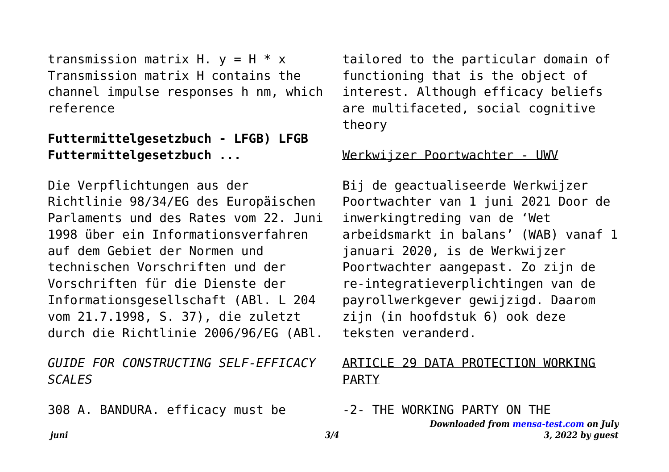transmission matrix H.  $v = H * x$ Transmission matrix H contains the channel impulse responses h nm, which reference

#### **Futtermittelgesetzbuch - LFGB) LFGB Futtermittelgesetzbuch ...**

Die Verpflichtungen aus der Richtlinie 98/34/EG des Europäischen Parlaments und des Rates vom 22. Juni 1998 über ein Informationsverfahren auf dem Gebiet der Normen und technischen Vorschriften und der Vorschriften für die Dienste der Informationsgesellschaft (ABl. L 204 vom 21.7.1998, S. 37), die zuletzt durch die Richtlinie 2006/96/EG (ABl.

*GUIDE FOR CONSTRUCTING SELF-EFFICACY SCALES*

308 A. BANDURA. efficacy must be

tailored to the particular domain of functioning that is the object of interest. Although efficacy beliefs are multifaceted, social cognitive theory

#### Werkwijzer Poortwachter - UWV

Bij de geactualiseerde Werkwijzer Poortwachter van 1 juni 2021 Door de inwerkingtreding van de 'Wet arbeidsmarkt in balans' (WAB) vanaf 1 januari 2020, is de Werkwijzer Poortwachter aangepast. Zo zijn de re-integratieverplichtingen van de payrollwerkgever gewijzigd. Daarom zijn (in hoofdstuk 6) ook deze teksten veranderd.

#### ARTICLE 29 DATA PROTECTION WORKING PARTY

-2- THE WORKING PARTY ON THE

*Downloaded from [mensa-test.com](https://mensa-test.com) on July 3, 2022 by guest*